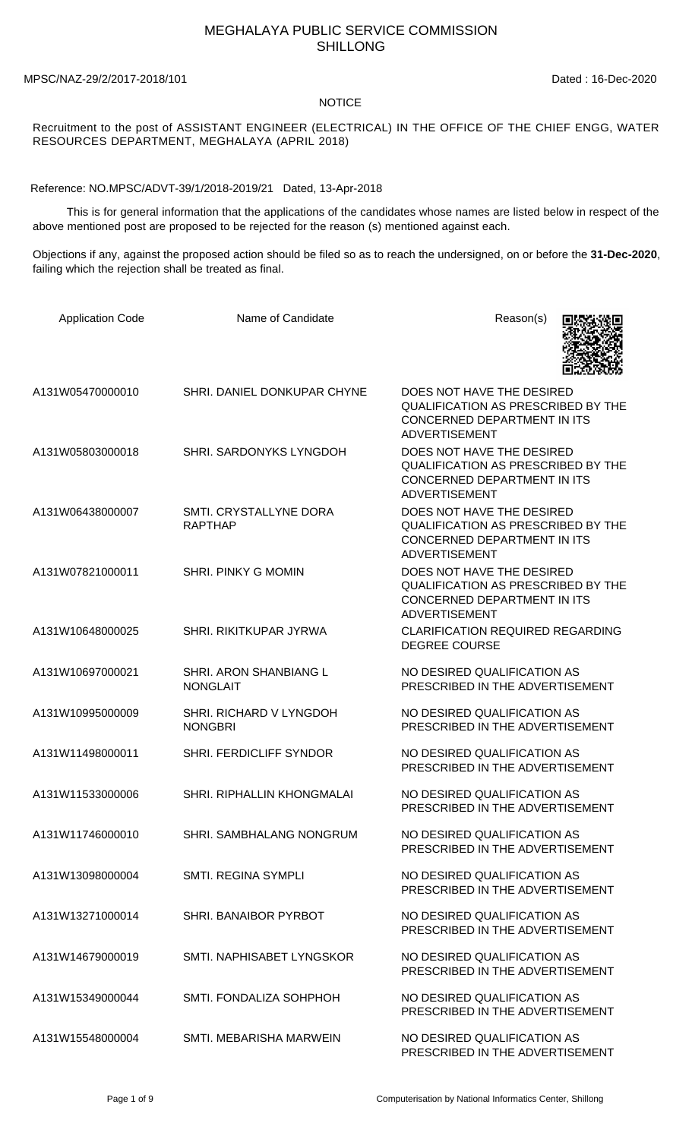## MEGHALAYA PUBLIC SERVICE COMMISSION SHILLONG

MPSC/NAZ-29/2/2017-2018/101 Dated : 16-Dec-2020

## NOTICE

Recruitment to the post of ASSISTANT ENGINEER (ELECTRICAL) IN THE OFFICE OF THE CHIEF ENGG, WATER RESOURCES DEPARTMENT, MEGHALAYA (APRIL 2018)

Reference: NO.MPSC/ADVT-39/1/2018-2019/21 Dated, 13-Apr-2018

 This is for general information that the applications of the candidates whose names are listed below in respect of the above mentioned post are proposed to be rejected for the reason (s) mentioned against each.

Objections if any, against the proposed action should be filed so as to reach the undersigned, on or before the **31-Dec-2020**, failing which the rejection shall be treated as final.

| <b>Application Code</b> | Name of Candidate                         | Reason(s)                                                                                                                            |
|-------------------------|-------------------------------------------|--------------------------------------------------------------------------------------------------------------------------------------|
| A131W05470000010        | SHRI. DANIEL DONKUPAR CHYNE               | DOES NOT HAVE THE DESIRED<br><b>QUALIFICATION AS PRESCRIBED BY THE</b><br>CONCERNED DEPARTMENT IN ITS<br><b>ADVERTISEMENT</b>        |
| A131W05803000018        | SHRI. SARDONYKS LYNGDOH                   | DOES NOT HAVE THE DESIRED<br><b>QUALIFICATION AS PRESCRIBED BY THE</b><br>CONCERNED DEPARTMENT IN ITS<br><b>ADVERTISEMENT</b>        |
| A131W06438000007        | SMTI. CRYSTALLYNE DORA<br><b>RAPTHAP</b>  | DOES NOT HAVE THE DESIRED<br>QUALIFICATION AS PRESCRIBED BY THE<br>CONCERNED DEPARTMENT IN ITS<br><b>ADVERTISEMENT</b>               |
| A131W07821000011        | <b>SHRI. PINKY G MOMIN</b>                | DOES NOT HAVE THE DESIRED<br><b>QUALIFICATION AS PRESCRIBED BY THE</b><br><b>CONCERNED DEPARTMENT IN ITS</b><br><b>ADVERTISEMENT</b> |
| A131W10648000025        | SHRI, RIKITKUPAR JYRWA                    | <b>CLARIFICATION REQUIRED REGARDING</b><br><b>DEGREE COURSE</b>                                                                      |
| A131W10697000021        | SHRI. ARON SHANBIANG L<br><b>NONGLAIT</b> | NO DESIRED QUALIFICATION AS<br>PRESCRIBED IN THE ADVERTISEMENT                                                                       |
| A131W10995000009        | SHRI. RICHARD V LYNGDOH<br><b>NONGBRI</b> | NO DESIRED QUALIFICATION AS<br>PRESCRIBED IN THE ADVERTISEMENT                                                                       |
| A131W11498000011        | SHRI. FERDICLIFF SYNDOR                   | NO DESIRED QUALIFICATION AS<br>PRESCRIBED IN THE ADVERTISEMENT                                                                       |
| A131W11533000006        | SHRI. RIPHALLIN KHONGMALAI                | NO DESIRED QUALIFICATION AS<br>PRESCRIBED IN THE ADVERTISEMENT                                                                       |
| A131W11746000010        | SHRI. SAMBHALANG NONGRUM                  | NO DESIRED OUALIFICATION AS<br>PRESCRIBED IN THE ADVERTISEMENT                                                                       |
| A131W13098000004        | <b>SMTI. REGINA SYMPLI</b>                | NO DESIRED QUALIFICATION AS<br>PRESCRIBED IN THE ADVERTISEMENT                                                                       |
| A131W13271000014        | SHRI, BANAIBOR PYRBOT                     | NO DESIRED QUALIFICATION AS<br>PRESCRIBED IN THE ADVERTISEMENT                                                                       |
| A131W14679000019        | SMTI. NAPHISABET LYNGSKOR                 | NO DESIRED QUALIFICATION AS<br>PRESCRIBED IN THE ADVERTISEMENT                                                                       |
| A131W15349000044        | SMTI. FONDALIZA SOHPHOH                   | NO DESIRED QUALIFICATION AS<br>PRESCRIBED IN THE ADVERTISEMENT                                                                       |
| A131W15548000004        | SMTI, MEBARISHA MARWEIN                   | NO DESIRED QUALIFICATION AS<br>PRESCRIBED IN THE ADVERTISEMENT                                                                       |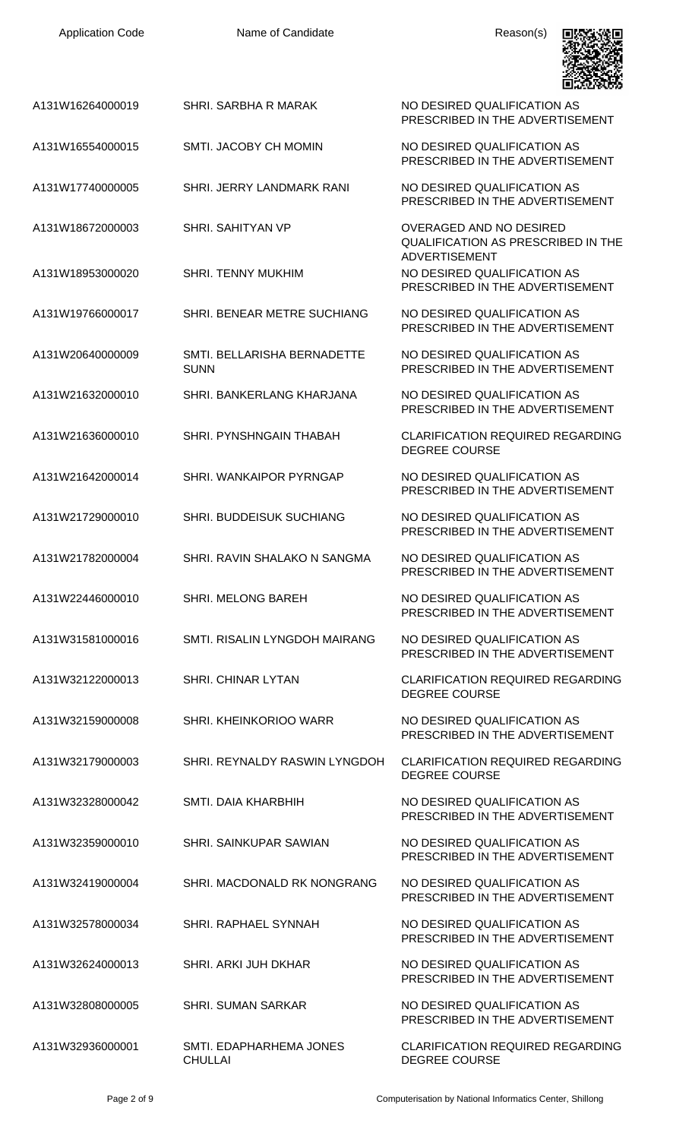| <b>Application Code</b> | Name of Candidate                          | Reason(s)                                                                                    |
|-------------------------|--------------------------------------------|----------------------------------------------------------------------------------------------|
| A131W16264000019        | SHRI. SARBHA R MARAK                       | NO DESIRED QUALIFICATION AS<br>PRESCRIBED IN THE ADVERTISEMENT                               |
| A131W16554000015        | <b>SMTI. JACOBY CH MOMIN</b>               | NO DESIRED QUALIFICATION AS<br>PRESCRIBED IN THE ADVERTISEMENT                               |
| A131W17740000005        | SHRI. JERRY LANDMARK RANI                  | NO DESIRED QUALIFICATION AS<br>PRESCRIBED IN THE ADVERTISEMENT                               |
| A131W18672000003        | <b>SHRI, SAHITYAN VP</b>                   | OVERAGED AND NO DESIRED<br><b>QUALIFICATION AS PRESCRIBED IN THE</b><br><b>ADVERTISEMENT</b> |
| A131W18953000020        | <b>SHRI. TENNY MUKHIM</b>                  | NO DESIRED QUALIFICATION AS<br>PRESCRIBED IN THE ADVERTISEMENT                               |
| A131W19766000017        | SHRI. BENEAR METRE SUCHIANG                | NO DESIRED QUALIFICATION AS<br>PRESCRIBED IN THE ADVERTISEMENT                               |
| A131W20640000009        | SMTI. BELLARISHA BERNADETTE<br><b>SUNN</b> | NO DESIRED QUALIFICATION AS<br>PRESCRIBED IN THE ADVERTISEMENT                               |
| A131W21632000010        | SHRI. BANKERLANG KHARJANA                  | NO DESIRED QUALIFICATION AS<br>PRESCRIBED IN THE ADVERTISEMENT                               |
| A131W21636000010        | SHRI. PYNSHNGAIN THABAH                    | <b>CLARIFICATION REQUIRED REGARDING</b><br><b>DEGREE COURSE</b>                              |
| A131W21642000014        | SHRI. WANKAIPOR PYRNGAP                    | NO DESIRED QUALIFICATION AS<br>PRESCRIBED IN THE ADVERTISEMENT                               |
| A131W21729000010        | <b>SHRI. BUDDEISUK SUCHIANG</b>            | NO DESIRED QUALIFICATION AS<br>PRESCRIBED IN THE ADVERTISEMENT                               |
| A131W21782000004        | SHRI. RAVIN SHALAKO N SANGMA               | NO DESIRED QUALIFICATION AS<br>PRESCRIBED IN THE ADVERTISEMENT                               |
| A131W22446000010        | SHRI. MELONG BAREH                         | NO DESIRED QUALIFICATION AS<br>PRESCRIBED IN THE ADVERTISEMENT                               |
| A131W31581000016        | <b>SMTI. RISALIN LYNGDOH MAIRANG</b>       | NO DESIRED QUALIFICATION AS<br>PRESCRIBED IN THE ADVERTISEMENT                               |
| A131W32122000013        | <b>SHRI. CHINAR LYTAN</b>                  | <b>CLARIFICATION REQUIRED REGARDING</b><br><b>DEGREE COURSE</b>                              |
| A131W32159000008        | SHRI. KHEINKORIOO WARR                     | NO DESIRED QUALIFICATION AS<br>PRESCRIBED IN THE ADVERTISEMENT                               |
| A131W32179000003        | SHRI. REYNALDY RASWIN LYNGDOH              | <b>CLARIFICATION REQUIRED REGARDING</b><br><b>DEGREE COURSE</b>                              |
| A131W32328000042        | SMTI, DAIA KHARBHIH                        | NO DESIRED QUALIFICATION AS<br>PRESCRIBED IN THE ADVERTISEMENT                               |
| A131W32359000010        | SHRI. SAINKUPAR SAWIAN                     | NO DESIRED QUALIFICATION AS<br>PRESCRIBED IN THE ADVERTISEMENT                               |
| A131W32419000004        | SHRI. MACDONALD RK NONGRANG                | NO DESIRED QUALIFICATION AS<br>PRESCRIBED IN THE ADVERTISEMENT                               |
| A131W32578000034        | <b>SHRI. RAPHAEL SYNNAH</b>                | NO DESIRED QUALIFICATION AS<br>PRESCRIBED IN THE ADVERTISEMENT                               |
| A131W32624000013        | SHRI, ARKI JUH DKHAR                       | NO DESIRED QUALIFICATION AS<br>PRESCRIBED IN THE ADVERTISEMENT                               |
| A131W32808000005        | <b>SHRI. SUMAN SARKAR</b>                  | NO DESIRED QUALIFICATION AS<br>PRESCRIBED IN THE ADVERTISEMENT                               |
| A131W32936000001        | SMTI. EDAPHARHEMA JONES<br><b>CHULLAI</b>  | <b>CLARIFICATION REQUIRED REGARDING</b><br><b>DEGREE COURSE</b>                              |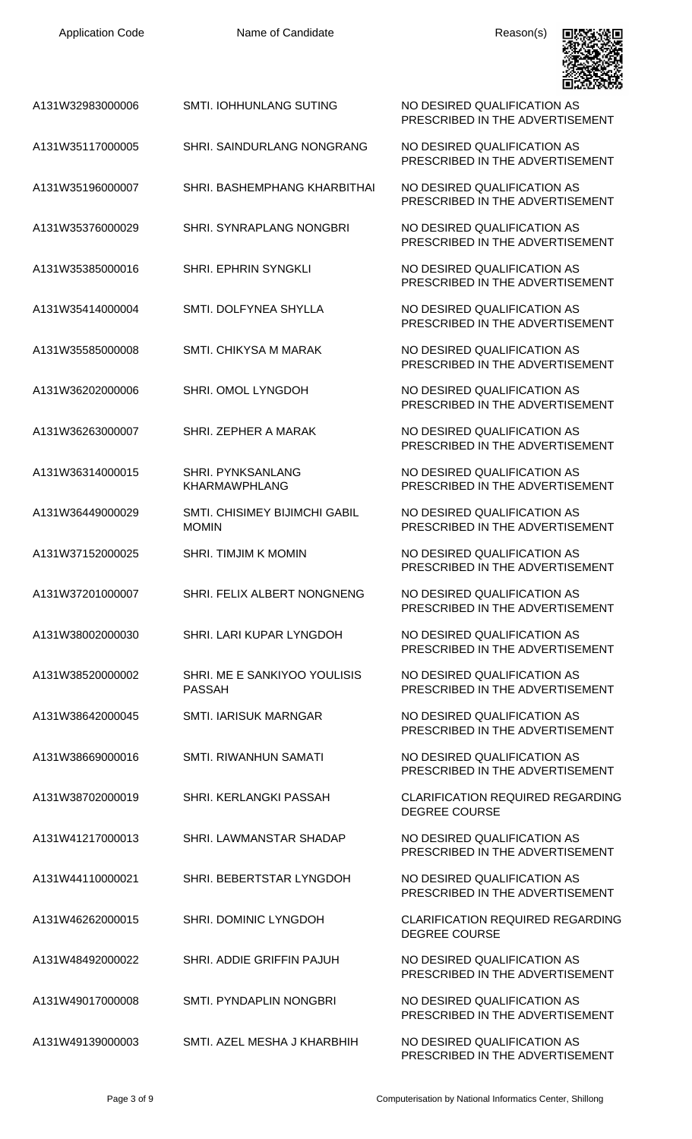| <b>Application Code</b> | Name of Candidate                                | Reason(s)                                                       |
|-------------------------|--------------------------------------------------|-----------------------------------------------------------------|
| A131W32983000006        | SMTI. IOHHUNLANG SUTING                          | NO DESIRED QUALIFICATION AS<br>PRESCRIBED IN THE ADVERTISEMENT  |
| A131W35117000005        | <b>SHRI. SAINDURLANG NONGRANG</b>                | NO DESIRED QUALIFICATION AS<br>PRESCRIBED IN THE ADVERTISEMENT  |
| A131W35196000007        | SHRI. BASHEMPHANG KHARBITHAI                     | NO DESIRED QUALIFICATION AS<br>PRESCRIBED IN THE ADVERTISEMENT  |
| A131W35376000029        | SHRI. SYNRAPLANG NONGBRI                         | NO DESIRED QUALIFICATION AS<br>PRESCRIBED IN THE ADVERTISEMENT  |
| A131W35385000016        | <b>SHRI. EPHRIN SYNGKLI</b>                      | NO DESIRED QUALIFICATION AS<br>PRESCRIBED IN THE ADVERTISEMENT  |
| A131W35414000004        | SMTI. DOLFYNEA SHYLLA                            | NO DESIRED QUALIFICATION AS<br>PRESCRIBED IN THE ADVERTISEMENT  |
| A131W35585000008        | <b>SMTI. CHIKYSA M MARAK</b>                     | NO DESIRED QUALIFICATION AS<br>PRESCRIBED IN THE ADVERTISEMENT  |
| A131W36202000006        | SHRI. OMOL LYNGDOH                               | NO DESIRED QUALIFICATION AS<br>PRESCRIBED IN THE ADVERTISEMENT  |
| A131W36263000007        | SHRI. ZEPHER A MARAK                             | NO DESIRED QUALIFICATION AS<br>PRESCRIBED IN THE ADVERTISEMENT  |
| A131W36314000015        | <b>SHRI. PYNKSANLANG</b><br><b>KHARMAWPHLANG</b> | NO DESIRED QUALIFICATION AS<br>PRESCRIBED IN THE ADVERTISEMENT  |
| A131W36449000029        | SMTI. CHISIMEY BIJIMCHI GABIL<br><b>MOMIN</b>    | NO DESIRED QUALIFICATION AS<br>PRESCRIBED IN THE ADVERTISEMENT  |
| A131W37152000025        | <b>SHRI. TIMJIM K MOMIN</b>                      | NO DESIRED QUALIFICATION AS<br>PRESCRIBED IN THE ADVERTISEMENT  |
| A131W37201000007        | SHRI. FELIX ALBERT NONGNENG                      | NO DESIRED QUALIFICATION AS<br>PRESCRIBED IN THE ADVERTISEMENT  |
| A131W38002000030        | SHRI. LARI KUPAR LYNGDOH                         | NO DESIRED QUALIFICATION AS<br>PRESCRIBED IN THE ADVERTISEMENT  |
| A131W38520000002        | SHRI. ME E SANKIYOO YOULISIS<br><b>PASSAH</b>    | NO DESIRED QUALIFICATION AS<br>PRESCRIBED IN THE ADVERTISEMENT  |
| A131W38642000045        | <b>SMTI. IARISUK MARNGAR</b>                     | NO DESIRED QUALIFICATION AS<br>PRESCRIBED IN THE ADVERTISEMENT  |
| A131W38669000016        | <b>SMTI. RIWANHUN SAMATI</b>                     | NO DESIRED QUALIFICATION AS<br>PRESCRIBED IN THE ADVERTISEMENT  |
| A131W38702000019        | <b>SHRI, KERLANGKI PASSAH</b>                    | <b>CLARIFICATION REQUIRED REGARDING</b><br><b>DEGREE COURSE</b> |
| A131W41217000013        | SHRI. LAWMANSTAR SHADAP                          | NO DESIRED QUALIFICATION AS<br>PRESCRIBED IN THE ADVERTISEMENT  |
| A131W44110000021        | SHRI. BEBERTSTAR LYNGDOH                         | NO DESIRED QUALIFICATION AS<br>PRESCRIBED IN THE ADVERTISEMENT  |
| A131W46262000015        | <b>SHRI. DOMINIC LYNGDOH</b>                     | <b>CLARIFICATION REQUIRED REGARDING</b><br><b>DEGREE COURSE</b> |
| A131W48492000022        | SHRI. ADDIE GRIFFIN PAJUH                        | NO DESIRED QUALIFICATION AS<br>PRESCRIBED IN THE ADVERTISEMENT  |
| A131W49017000008        | SMTI. PYNDAPLIN NONGBRI                          | NO DESIRED QUALIFICATION AS<br>PRESCRIBED IN THE ADVERTISEMENT  |
| A131W49139000003        | SMTI. AZEL MESHA J KHARBHIH                      | NO DESIRED QUALIFICATION AS                                     |

PRESCRIBED IN THE ADVERTISEMENT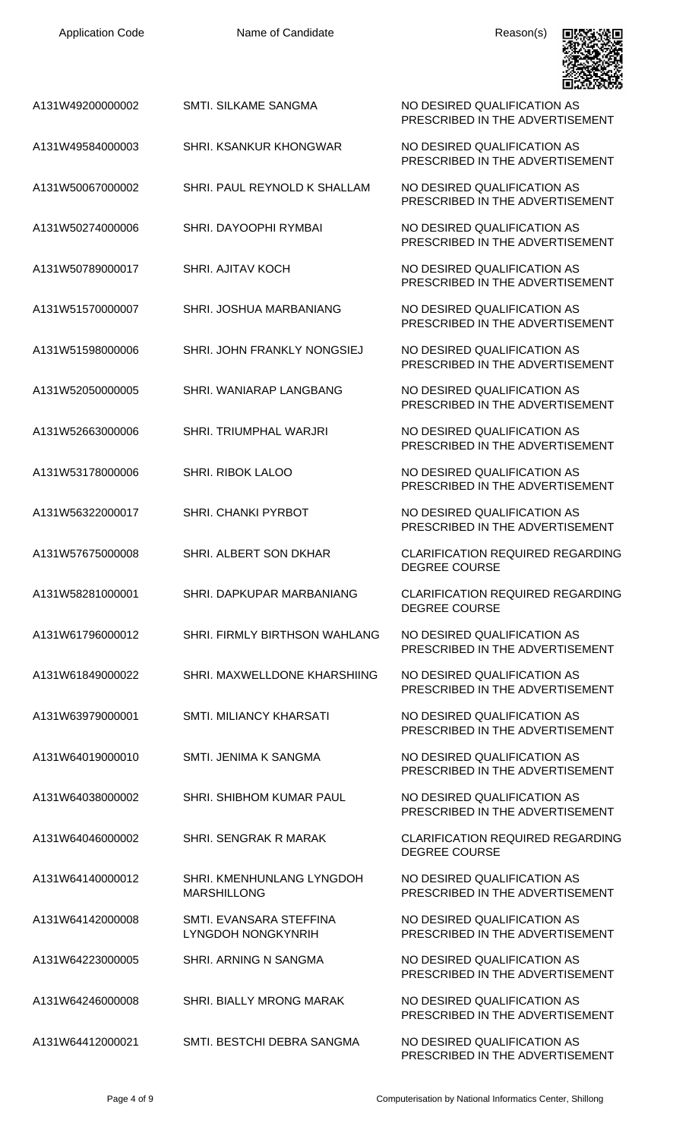| A131W49200000002 | <b>SMTI. SILKAME SANGMA</b>                            | NO DESIRED QUALIFICATION AS<br>PRESCRIBED IN THE ADVERTISEMENT  |
|------------------|--------------------------------------------------------|-----------------------------------------------------------------|
| A131W49584000003 | SHRI. KSANKUR KHONGWAR                                 | NO DESIRED QUALIFICATION AS<br>PRESCRIBED IN THE ADVERTISEMENT  |
| A131W50067000002 | SHRI. PAUL REYNOLD K SHALLAM                           | NO DESIRED QUALIFICATION AS<br>PRESCRIBED IN THE ADVERTISEMENT  |
| A131W50274000006 | SHRI. DAYOOPHI RYMBAI                                  | NO DESIRED QUALIFICATION AS<br>PRESCRIBED IN THE ADVERTISEMENT  |
| A131W50789000017 | <b>SHRI. AJITAV KOCH</b>                               | NO DESIRED QUALIFICATION AS<br>PRESCRIBED IN THE ADVERTISEMENT  |
| A131W51570000007 | SHRI. JOSHUA MARBANIANG                                | NO DESIRED QUALIFICATION AS<br>PRESCRIBED IN THE ADVERTISEMENT  |
| A131W51598000006 | SHRI. JOHN FRANKLY NONGSIEJ                            | NO DESIRED QUALIFICATION AS<br>PRESCRIBED IN THE ADVERTISEMENT  |
| A131W52050000005 | SHRI. WANIARAP LANGBANG                                | NO DESIRED QUALIFICATION AS<br>PRESCRIBED IN THE ADVERTISEMENT  |
| A131W52663000006 | <b>SHRI. TRIUMPHAL WARJRI</b>                          | NO DESIRED QUALIFICATION AS<br>PRESCRIBED IN THE ADVERTISEMENT  |
| A131W53178000006 | <b>SHRI. RIBOK LALOO</b>                               | NO DESIRED QUALIFICATION AS<br>PRESCRIBED IN THE ADVERTISEMENT  |
| A131W56322000017 | <b>SHRI. CHANKI PYRBOT</b>                             | NO DESIRED QUALIFICATION AS<br>PRESCRIBED IN THE ADVERTISEMENT  |
| A131W57675000008 | SHRI. ALBERT SON DKHAR                                 | <b>CLARIFICATION REQUIRED REGARDING</b><br><b>DEGREE COURSE</b> |
| A131W58281000001 | SHRI. DAPKUPAR MARBANIANG                              | CLARIFICATION REQUIRED REGARDING<br><b>DEGREE COURSE</b>        |
| A131W61796000012 | SHRI. FIRMLY BIRTHSON WAHLANG                          | NO DESIRED QUALIFICATION AS<br>PRESCRIBED IN THE ADVERTISEMENT  |
| A131W61849000022 | SHRI. MAXWELLDONE KHARSHIING                           | NO DESIRED QUALIFICATION AS<br>PRESCRIBED IN THE ADVERTISEMENT  |
| A131W63979000001 | <b>SMTI. MILIANCY KHARSATI</b>                         | NO DESIRED QUALIFICATION AS<br>PRESCRIBED IN THE ADVERTISEMENT  |
| A131W64019000010 | SMTI. JENIMA K SANGMA                                  | NO DESIRED QUALIFICATION AS<br>PRESCRIBED IN THE ADVERTISEMENT  |
| A131W64038000002 | SHRI. SHIBHOM KUMAR PAUL                               | NO DESIRED QUALIFICATION AS<br>PRESCRIBED IN THE ADVERTISEMENT  |
| A131W64046000002 | SHRI. SENGRAK R MARAK                                  | <b>CLARIFICATION REQUIRED REGARDING</b><br><b>DEGREE COURSE</b> |
| A131W64140000012 | <b>SHRI. KMENHUNLANG LYNGDOH</b><br><b>MARSHILLONG</b> | NO DESIRED QUALIFICATION AS<br>PRESCRIBED IN THE ADVERTISEMENT  |
| A131W64142000008 | SMTI. EVANSARA STEFFINA<br>LYNGDOH NONGKYNRIH          | NO DESIRED QUALIFICATION AS<br>PRESCRIBED IN THE ADVERTISEMENT  |
| A131W64223000005 | SHRI. ARNING N SANGMA                                  | NO DESIRED QUALIFICATION AS<br>PRESCRIBED IN THE ADVERTISEMENT  |
| A131W64246000008 | <b>SHRI. BIALLY MRONG MARAK</b>                        | NO DESIRED QUALIFICATION AS<br>PRESCRIBED IN THE ADVERTISEMENT  |
| A131W64412000021 | SMTI, BESTCHI DEBRA SANGMA                             | NO DESIRED QUALIFICATION AS<br>PRESCRIBED IN THE ADVERTISEMENT  |

回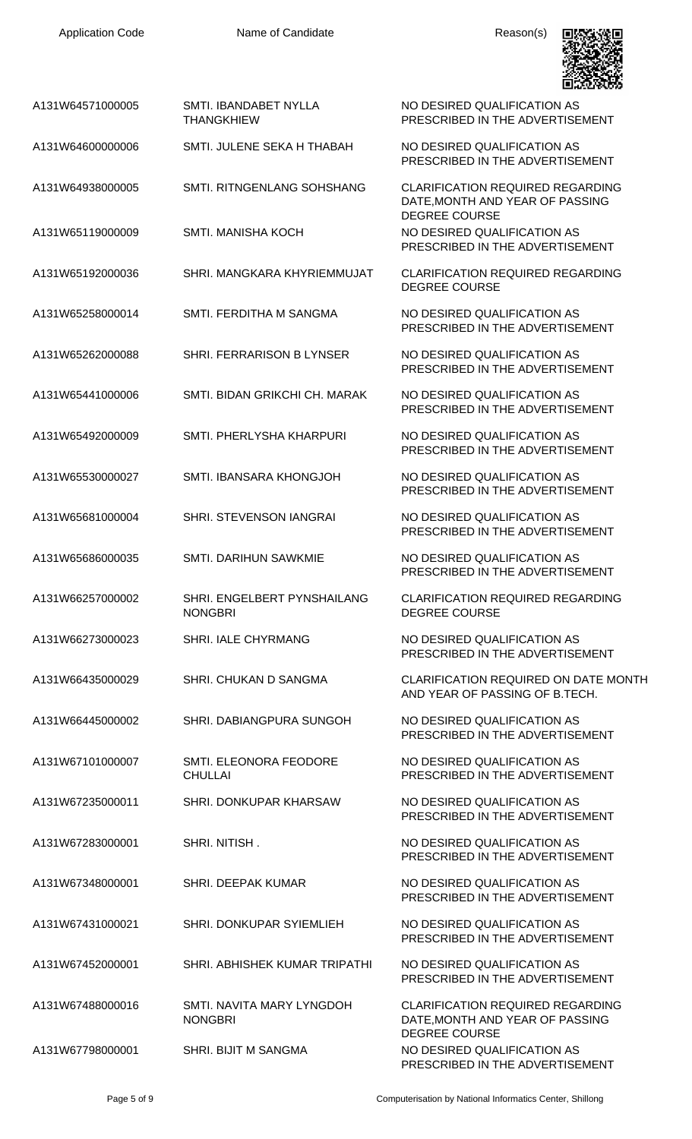

| A131W64571000005 | SMTI. IBANDABET NYLLA<br><b>THANGKHIEW</b>    | NO DESIRED QUALIFICATION AS<br>PRESCRIBED IN THE ADVERTISEMENT                                     |
|------------------|-----------------------------------------------|----------------------------------------------------------------------------------------------------|
| A131W64600000006 | SMTI, JULENE SEKA H THABAH                    | NO DESIRED QUALIFICATION AS<br>PRESCRIBED IN THE ADVERTISEMENT                                     |
| A131W64938000005 | SMTI, RITNGENLANG SOHSHANG                    | <b>CLARIFICATION REQUIRED REGARDING</b><br>DATE, MONTH AND YEAR OF PASSING<br>DEGREE COURSE        |
| A131W65119000009 | <b>SMTI. MANISHA KOCH</b>                     | NO DESIRED QUALIFICATION AS<br>PRESCRIBED IN THE ADVERTISEMENT                                     |
| A131W65192000036 | SHRI. MANGKARA KHYRIEMMUJAT                   | <b>CLARIFICATION REQUIRED REGARDING</b><br><b>DEGREE COURSE</b>                                    |
| A131W65258000014 | SMTI. FERDITHA M SANGMA                       | NO DESIRED QUALIFICATION AS<br>PRESCRIBED IN THE ADVERTISEMENT                                     |
| A131W65262000088 | <b>SHRI. FERRARISON B LYNSER</b>              | NO DESIRED QUALIFICATION AS<br>PRESCRIBED IN THE ADVERTISEMENT                                     |
| A131W65441000006 | SMTI. BIDAN GRIKCHI CH. MARAK                 | NO DESIRED QUALIFICATION AS<br>PRESCRIBED IN THE ADVERTISEMENT                                     |
| A131W65492000009 | SMTI. PHERLYSHA KHARPURI                      | NO DESIRED QUALIFICATION AS<br>PRESCRIBED IN THE ADVERTISEMENT                                     |
| A131W65530000027 | SMTI. IBANSARA KHONGJOH                       | NO DESIRED QUALIFICATION AS<br>PRESCRIBED IN THE ADVERTISEMENT                                     |
| A131W65681000004 | SHRI. STEVENSON IANGRAI                       | NO DESIRED QUALIFICATION AS<br>PRESCRIBED IN THE ADVERTISEMENT                                     |
| A131W65686000035 | <b>SMTI. DARIHUN SAWKMIE</b>                  | NO DESIRED QUALIFICATION AS<br>PRESCRIBED IN THE ADVERTISEMENT                                     |
| A131W66257000002 | SHRI. ENGELBERT PYNSHAILANG<br><b>NONGBRI</b> | <b>CLARIFICATION REQUIRED REGARDING</b><br><b>DEGREE COURSE</b>                                    |
| A131W66273000023 | <b>SHRI. IALE CHYRMANG</b>                    | NO DESIRED QUALIFICATION AS<br>PRESCRIBED IN THE ADVERTISEMENT                                     |
| A131W66435000029 | SHRI. CHUKAN D SANGMA                         | <b>CLARIFICATION REQUIRED ON DATE MONTH</b><br>AND YEAR OF PASSING OF B.TECH.                      |
| A131W66445000002 | SHRI. DABIANGPURA SUNGOH                      | NO DESIRED QUALIFICATION AS<br>PRESCRIBED IN THE ADVERTISEMENT                                     |
| A131W67101000007 | SMTI. ELEONORA FEODORE<br><b>CHULLAI</b>      | NO DESIRED QUALIFICATION AS<br>PRESCRIBED IN THE ADVERTISEMENT                                     |
| A131W67235000011 | SHRI. DONKUPAR KHARSAW                        | NO DESIRED QUALIFICATION AS<br>PRESCRIBED IN THE ADVERTISEMENT                                     |
| A131W67283000001 | SHRI. NITISH.                                 | NO DESIRED QUALIFICATION AS<br>PRESCRIBED IN THE ADVERTISEMENT                                     |
| A131W67348000001 | SHRI, DEEPAK KUMAR                            | NO DESIRED QUALIFICATION AS<br>PRESCRIBED IN THE ADVERTISEMENT                                     |
| A131W67431000021 | SHRI. DONKUPAR SYIEMLIEH                      | NO DESIRED QUALIFICATION AS<br>PRESCRIBED IN THE ADVERTISEMENT                                     |
| A131W67452000001 | SHRI. ABHISHEK KUMAR TRIPATHI                 | NO DESIRED QUALIFICATION AS<br>PRESCRIBED IN THE ADVERTISEMENT                                     |
| A131W67488000016 | SMTI, NAVITA MARY LYNGDOH<br><b>NONGBRI</b>   | <b>CLARIFICATION REQUIRED REGARDING</b><br>DATE, MONTH AND YEAR OF PASSING<br><b>DEGREE COURSE</b> |
| A131W67798000001 | SHRI. BIJIT M SANGMA                          | NO DESIRED QUALIFICATION AS<br>PRESCRIBED IN THE ADVERTISEMENT                                     |

Page 5 of 9 Computerisation by National Informatics Center, Shillong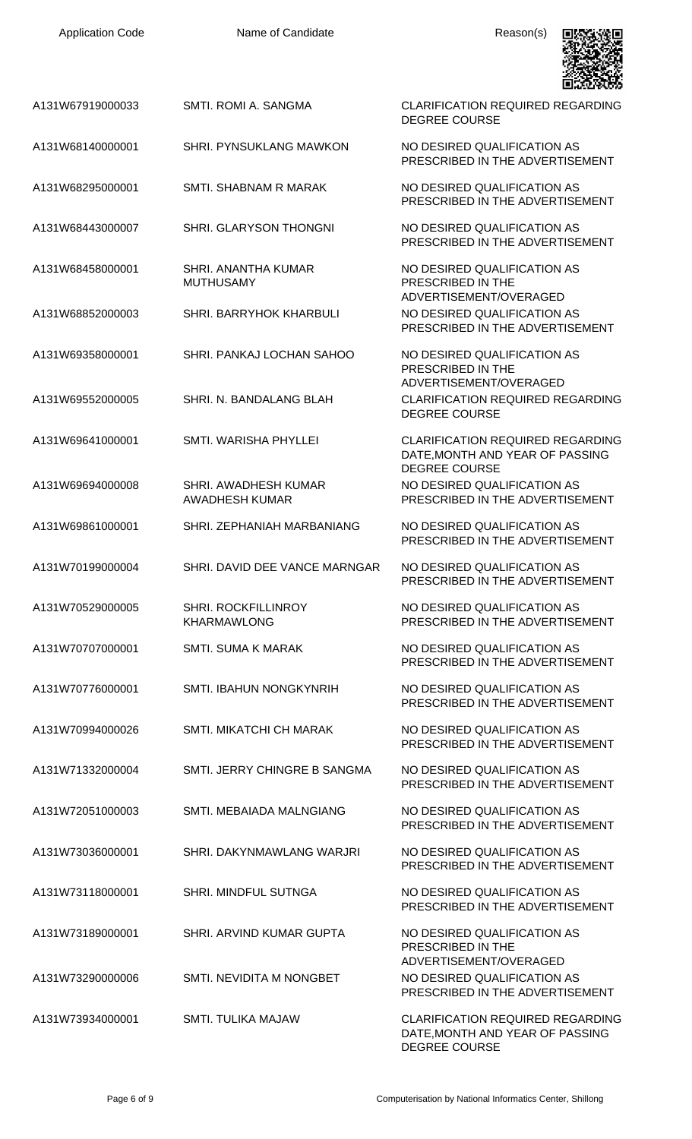

A131W67919000033 SMTI. ROMI A. SANGMA CLARIFICATION REQUIRED REGARDING

- A131W68140000001 SHRI. PYNSUKLANG MAWKON NO DESIRED QUALIFICATION AS
- A131W68295000001 SMTI. SHABNAM R MARAK NO DESIRED QUALIFICATION AS
- A131W68443000007 SHRI. GLARYSON THONGNI NO DESIRED QUALIFICATION AS

A131W68458000001 SHRI. ANANTHA KUMAR MUTHUSAMY

- A131W68852000003 SHRI. BARRYHOK KHARBULI NO DESIRED QUALIFICATION AS
- A131W69358000001 SHRI. PANKAJ LOCHAN SAHOO NO DESIRED QUALIFICATION AS
- A131W69552000005 SHRI. N. BANDALANG BLAH CLARIFICATION REQUIRED REGARDING
- A131W69641000001 SMTI. WARISHA PHYLLEI CLARIFICATION REQUIRED REGARDING

A131W69694000008 SHRI. AWADHESH KUMAR AWADHESH KUMAR

- A131W69861000001 SHRI. ZEPHANIAH MARBANIANG NO DESIRED QUALIFICATION AS
- A131W70199000004 SHRI. DAVID DEE VANCE MARNGAR NO DESIRED QUALIFICATION AS
- A131W70529000005 SHRI. ROCKFILLINROY KHARMAWLONG
- A131W70707000001 SMTI. SUMA K MARAK NO DESIRED QUALIFICATION AS
- A131W70776000001 SMTI. IBAHUN NONGKYNRIH NO DESIRED QUALIFICATION AS
- A131W70994000026 SMTI. MIKATCHI CH MARAK NO DESIRED QUALIFICATION AS
- A131W71332000004 SMTI. JERRY CHINGRE B SANGMA NO DESIRED QUALIFICATION AS
- A131W72051000003 SMTI. MEBAIADA MALNGIANG NO DESIRED QUALIFICATION AS
- A131W73036000001 SHRI. DAKYNMAWLANG WARJRI NO DESIRED QUALIFICATION AS
- A131W73118000001 SHRI. MINDFUL SUTNGA NO DESIRED QUALIFICATION AS
- A131W73189000001 SHRI. ARVIND KUMAR GUPTA NO DESIRED QUALIFICATION AS
- A131W73290000006 SMTI. NEVIDITA M NONGBET NO DESIRED QUALIFICATION AS
- A131W73934000001 SMTI. TULIKA MAJAW CLARIFICATION REQUIRED REGARDING

DEGREE COURSE

PRESCRIBED IN THE ADVERTISEMENT

PRESCRIBED IN THE ADVERTISEMENT

PRESCRIBED IN THE ADVERTISEMENT

NO DESIRED QUALIFICATION AS PRESCRIBED IN THE ADVERTISEMENT/OVERAGED PRESCRIBED IN THE ADVERTISEMENT

PRESCRIBED IN THE ADVERTISEMENT/OVERAGED DEGREE COURSE

DATE,MONTH AND YEAR OF PASSING DEGREE COURSE NO DESIRED QUALIFICATION AS PRESCRIBED IN THE ADVERTISEMENT

PRESCRIBED IN THE ADVERTISEMENT

PRESCRIBED IN THE ADVERTISEMENT

NO DESIRED QUALIFICATION AS PRESCRIBED IN THE ADVERTISEMENT

PRESCRIBED IN THE ADVERTISEMENT

PRESCRIBED IN THE ADVERTISEMENT

PRESCRIBED IN THE ADVERTISEMENT

PRESCRIBED IN THE ADVERTISEMENT

PRESCRIBED IN THE ADVERTISEMENT

PRESCRIBED IN THE ADVERTISEMENT

PRESCRIBED IN THE ADVERTISEMENT

PRESCRIBED IN THE ADVERTISEMENT/OVERAGED PRESCRIBED IN THE ADVERTISEMENT

DATE,MONTH AND YEAR OF PASSING DEGREE COURSE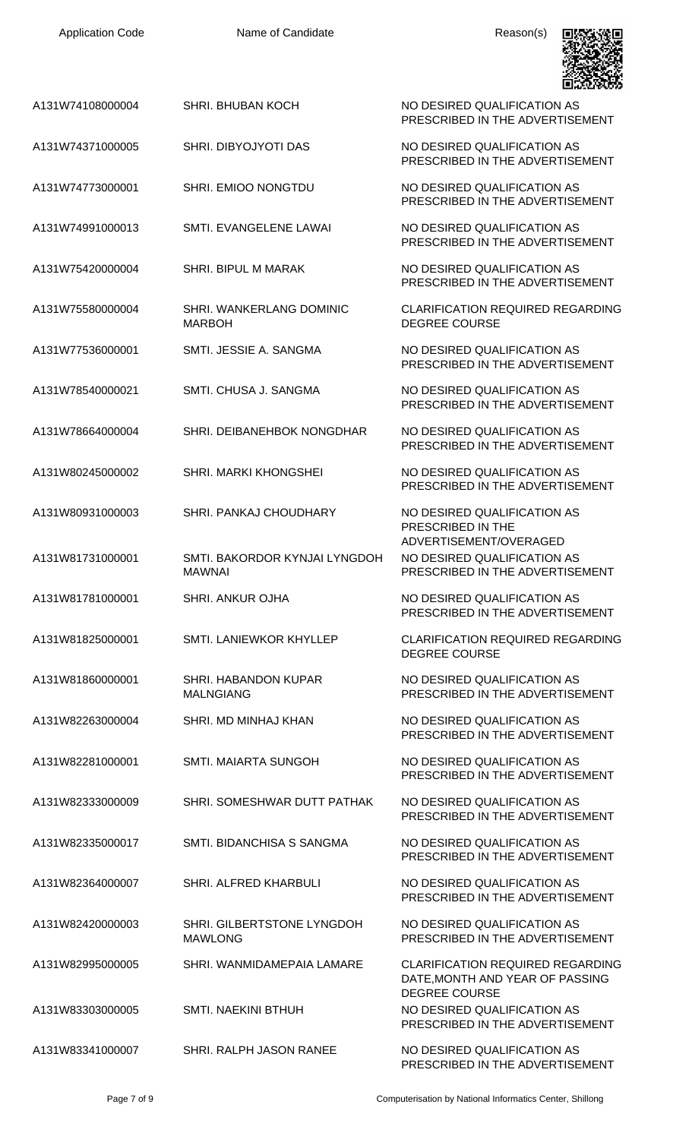| <b>Application Code</b> | Name of Candidate                              | Reason(s)                                                                                          |
|-------------------------|------------------------------------------------|----------------------------------------------------------------------------------------------------|
| A131W74108000004        | <b>SHRI. BHUBAN KOCH</b>                       | NO DESIRED QUALIFICATION AS<br>PRESCRIBED IN THE ADVERTISEMENT                                     |
| A131W74371000005        | SHRI. DIBYOJYOTI DAS                           | NO DESIRED QUALIFICATION AS<br>PRESCRIBED IN THE ADVERTISEMENT                                     |
| A131W74773000001        | SHRI. EMIOO NONGTDU                            | NO DESIRED QUALIFICATION AS<br>PRESCRIBED IN THE ADVERTISEMENT                                     |
| A131W74991000013        | SMTI. EVANGELENE LAWAI                         | NO DESIRED QUALIFICATION AS<br>PRESCRIBED IN THE ADVERTISEMENT                                     |
| A131W75420000004        | <b>SHRI. BIPUL M MARAK</b>                     | NO DESIRED QUALIFICATION AS<br>PRESCRIBED IN THE ADVERTISEMENT                                     |
| A131W75580000004        | SHRI. WANKERLANG DOMINIC<br><b>MARBOH</b>      | <b>CLARIFICATION REQUIRED REGARDING</b><br><b>DEGREE COURSE</b>                                    |
| A131W77536000001        | SMTI. JESSIE A. SANGMA                         | NO DESIRED QUALIFICATION AS<br>PRESCRIBED IN THE ADVERTISEMENT                                     |
| A131W78540000021        | SMTI. CHUSA J. SANGMA                          | NO DESIRED QUALIFICATION AS<br>PRESCRIBED IN THE ADVERTISEMENT                                     |
| A131W78664000004        | SHRI. DEIBANEHBOK NONGDHAR                     | NO DESIRED QUALIFICATION AS<br>PRESCRIBED IN THE ADVERTISEMENT                                     |
| A131W80245000002        | SHRI. MARKI KHONGSHEI                          | NO DESIRED QUALIFICATION AS<br>PRESCRIBED IN THE ADVERTISEMENT                                     |
| A131W80931000003        | SHRI. PANKAJ CHOUDHARY                         | NO DESIRED QUALIFICATION AS<br>PRESCRIBED IN THE                                                   |
| A131W81731000001        | SMTI. BAKORDOR KYNJAI LYNGDOH<br><b>MAWNAI</b> | ADVERTISEMENT/OVERAGED<br>NO DESIRED QUALIFICATION AS<br>PRESCRIBED IN THE ADVERTISEMENT           |
| A131W81781000001        | SHRI, ANKUR OJHA                               | NO DESIRED QUALIFICATION AS<br>PRESCRIBED IN THE ADVERTISEMENT                                     |
| A131W81825000001        | SMTI, LANIEWKOR KHYLLEP                        | <b>CLARIFICATION REQUIRED REGARDING</b><br><b>DEGREE COURSE</b>                                    |
| A131W81860000001        | SHRI. HABANDON KUPAR<br><b>MALNGIANG</b>       | NO DESIRED QUALIFICATION AS<br>PRESCRIBED IN THE ADVERTISEMENT                                     |
| A131W82263000004        | SHRI. MD MINHAJ KHAN                           | NO DESIRED QUALIFICATION AS<br>PRESCRIBED IN THE ADVERTISEMENT                                     |
| A131W82281000001        | SMTI. MAIARTA SUNGOH                           | NO DESIRED QUALIFICATION AS<br>PRESCRIBED IN THE ADVERTISEMENT                                     |
| A131W82333000009        | SHRI. SOMESHWAR DUTT PATHAK                    | NO DESIRED QUALIFICATION AS<br>PRESCRIBED IN THE ADVERTISEMENT                                     |
| A131W82335000017        | SMTI. BIDANCHISA S SANGMA                      | NO DESIRED QUALIFICATION AS<br>PRESCRIBED IN THE ADVERTISEMENT                                     |
| A131W82364000007        | SHRI. ALFRED KHARBULI                          | NO DESIRED QUALIFICATION AS<br>PRESCRIBED IN THE ADVERTISEMENT                                     |
| A131W82420000003        | SHRI. GILBERTSTONE LYNGDOH<br><b>MAWLONG</b>   | NO DESIRED QUALIFICATION AS<br>PRESCRIBED IN THE ADVERTISEMENT                                     |
| A131W82995000005        | SHRI. WANMIDAMEPAIA LAMARE                     | <b>CLARIFICATION REQUIRED REGARDING</b><br>DATE, MONTH AND YEAR OF PASSING<br><b>DEGREE COURSE</b> |
| A131W83303000005        | <b>SMTI. NAEKINI BTHUH</b>                     | NO DESIRED QUALIFICATION AS<br>PRESCRIBED IN THE ADVERTISEMENT                                     |
| A131W83341000007        | SHRI. RALPH JASON RANEE                        | NO DESIRED QUALIFICATION AS                                                                        |

Page 7 of 9 Computerisation by National Informatics Center, Shillong

PRESCRIBED IN THE ADVERTISEMENT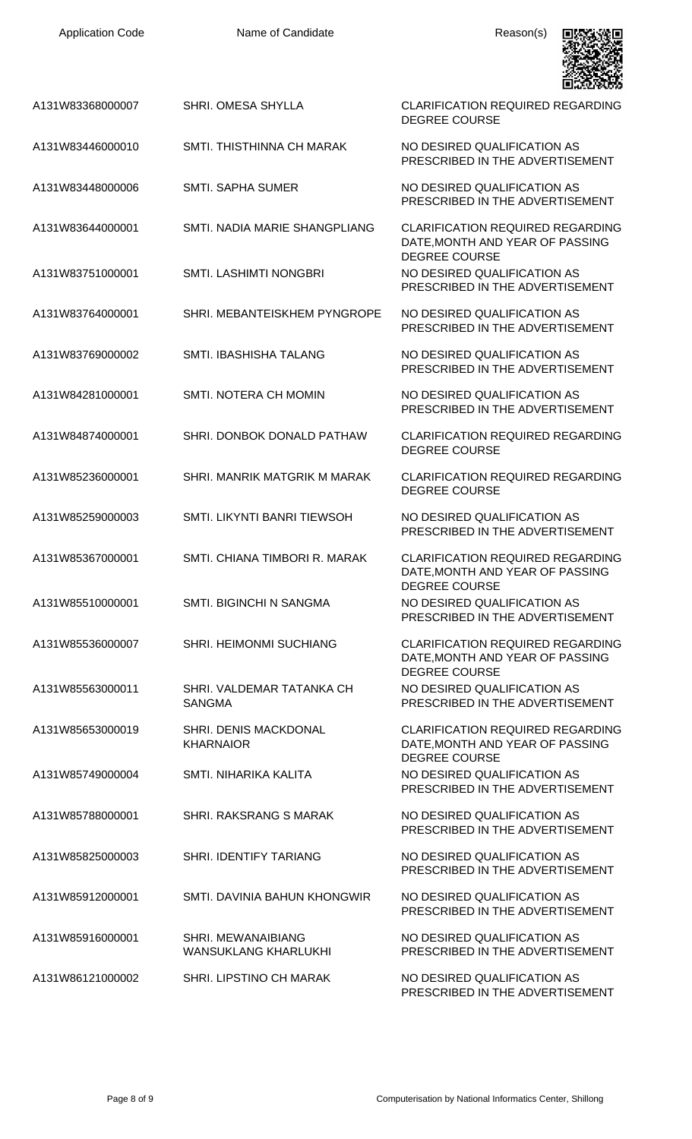| <b>Application Code</b> | Name of Candidate                                        | Reason(s)                                                                                          |
|-------------------------|----------------------------------------------------------|----------------------------------------------------------------------------------------------------|
| A131W83368000007        | SHRI, OMESA SHYLLA                                       | <b>CLARIFICATION REQUIRED REGARDING</b><br><b>DEGREE COURSE</b>                                    |
| A131W83446000010        | SMTI. THISTHINNA CH MARAK                                | NO DESIRED QUALIFICATION AS<br>PRESCRIBED IN THE ADVERTISEMENT                                     |
| A131W83448000006        | <b>SMTI. SAPHA SUMER</b>                                 | NO DESIRED QUALIFICATION AS<br>PRESCRIBED IN THE ADVERTISEMENT                                     |
| A131W83644000001        | SMTI. NADIA MARIE SHANGPLIANG                            | <b>CLARIFICATION REQUIRED REGARDING</b><br>DATE, MONTH AND YEAR OF PASSING<br><b>DEGREE COURSE</b> |
| A131W83751000001        | <b>SMTI. LASHIMTI NONGBRI</b>                            | NO DESIRED QUALIFICATION AS<br>PRESCRIBED IN THE ADVERTISEMENT                                     |
| A131W83764000001        | SHRI. MEBANTEISKHEM PYNGROPE                             | NO DESIRED QUALIFICATION AS<br>PRESCRIBED IN THE ADVERTISEMENT                                     |
| A131W83769000002        | SMTI. IBASHISHA TALANG                                   | NO DESIRED QUALIFICATION AS<br>PRESCRIBED IN THE ADVERTISEMENT                                     |
| A131W84281000001        | SMTI. NOTERA CH MOMIN                                    | NO DESIRED QUALIFICATION AS<br>PRESCRIBED IN THE ADVERTISEMENT                                     |
| A131W84874000001        | SHRI. DONBOK DONALD PATHAW                               | <b>CLARIFICATION REQUIRED REGARDING</b><br><b>DEGREE COURSE</b>                                    |
| A131W85236000001        | SHRI. MANRIK MATGRIK M MARAK                             | <b>CLARIFICATION REQUIRED REGARDING</b><br><b>DEGREE COURSE</b>                                    |
| A131W85259000003        | SMTI. LIKYNTI BANRI TIEWSOH                              | NO DESIRED QUALIFICATION AS<br>PRESCRIBED IN THE ADVERTISEMENT                                     |
| A131W85367000001        | SMTI. CHIANA TIMBORI R. MARAK                            | <b>CLARIFICATION REQUIRED REGARDING</b><br>DATE, MONTH AND YEAR OF PASSING<br><b>DEGREE COURSE</b> |
| A131W85510000001        | <b>SMTI. BIGINCHI N SANGMA</b>                           | NO DESIRED QUALIFICATION AS<br>PRESCRIBED IN THE ADVERTISEMENT                                     |
| A131W85536000007        | <b>SHRI. HEIMONMI SUCHIANG</b>                           | <b>CLARIFICATION REQUIRED REGARDING</b><br>DATE, MONTH AND YEAR OF PASSING<br><b>DEGREE COURSE</b> |
| A131W85563000011        | SHRI. VALDEMAR TATANKA CH<br><b>SANGMA</b>               | NO DESIRED QUALIFICATION AS<br>PRESCRIBED IN THE ADVERTISEMENT                                     |
| A131W85653000019        | <b>SHRI. DENIS MACKDONAL</b><br><b>KHARNAIOR</b>         | <b>CLARIFICATION REQUIRED REGARDING</b><br>DATE, MONTH AND YEAR OF PASSING<br><b>DEGREE COURSE</b> |
| A131W85749000004        | SMTI. NIHARIKA KALITA                                    | NO DESIRED QUALIFICATION AS<br>PRESCRIBED IN THE ADVERTISEMENT                                     |
| A131W85788000001        | SHRI. RAKSRANG S MARAK                                   | NO DESIRED QUALIFICATION AS<br>PRESCRIBED IN THE ADVERTISEMENT                                     |
| A131W85825000003        | <b>SHRI. IDENTIFY TARIANG</b>                            | NO DESIRED QUALIFICATION AS<br>PRESCRIBED IN THE ADVERTISEMENT                                     |
| A131W85912000001        | SMTI. DAVINIA BAHUN KHONGWIR                             | NO DESIRED QUALIFICATION AS<br>PRESCRIBED IN THE ADVERTISEMENT                                     |
| A131W85916000001        | <b>SHRI. MEWANAIBIANG</b><br><b>WANSUKLANG KHARLUKHI</b> | NO DESIRED QUALIFICATION AS<br>PRESCRIBED IN THE ADVERTISEMENT                                     |
| A131W86121000002        | SHRI. LIPSTINO CH MARAK                                  | NO DESIRED QUALIFICATION AS<br>PRESCRIBED IN THE ADVERTISEMENT                                     |